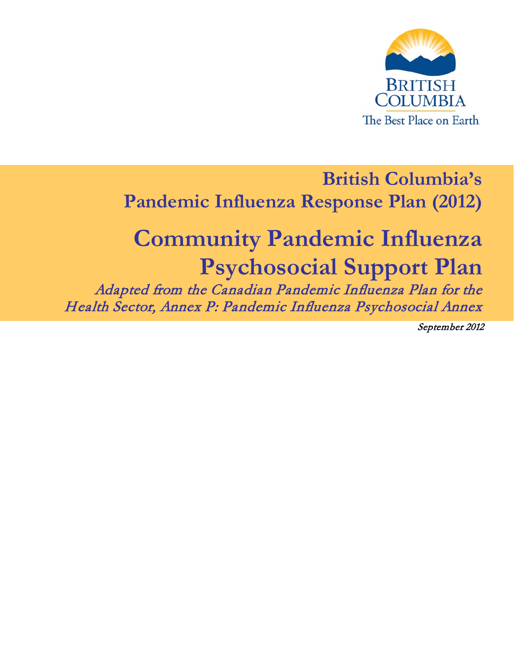

# **British Columbia's Pandemic Influenza Response Plan (2012)**

# **Community Pandemic Influenza Psychosocial Support Plan** Adapted from the Canadian Pandemic Influenza Plan for the

Health Sector, Annex P: Pandemic Influenza Psychosocial Annex

September 2012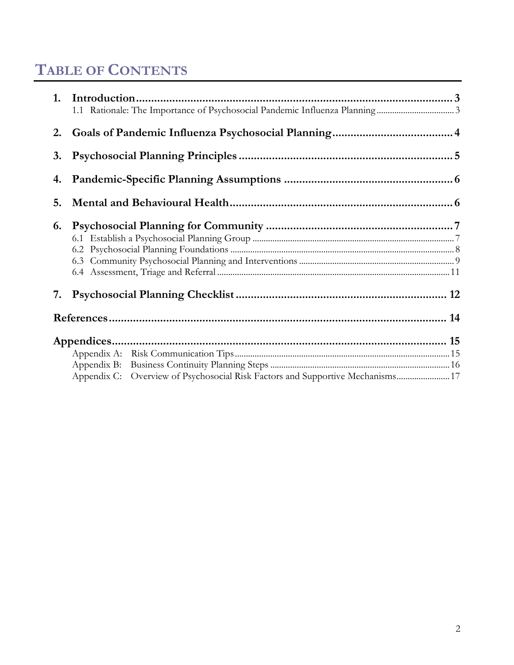# **TABLE OF CONTENTS**

| 2. |                                                                                   |  |
|----|-----------------------------------------------------------------------------------|--|
| 3. |                                                                                   |  |
| 4. |                                                                                   |  |
| 5. |                                                                                   |  |
| 6. |                                                                                   |  |
| 7. |                                                                                   |  |
|    |                                                                                   |  |
|    |                                                                                   |  |
|    |                                                                                   |  |
|    | Appendix B:                                                                       |  |
|    | Overview of Psychosocial Risk Factors and Supportive Mechanisms 17<br>Appendix C: |  |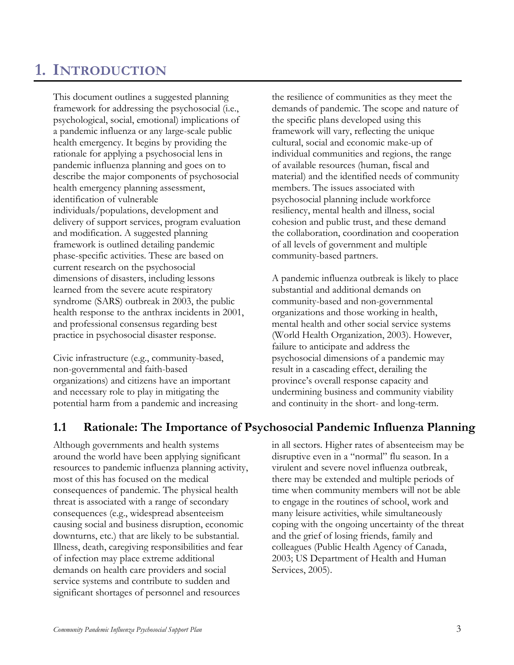# <span id="page-2-0"></span>**1. INTRODUCTION**

This document outlines a suggested planning framework for addressing the psychosocial (i.e., psychological, social, emotional) implications of a pandemic influenza or any large-scale public health emergency. It begins by providing the rationale for applying a psychosocial lens in pandemic influenza planning and goes on to describe the major components of psychosocial health emergency planning assessment, identification of vulnerable individuals/populations, development and delivery of support services, program evaluation and modification. A suggested planning framework is outlined detailing pandemic phase-specific activities. These are based on current research on the psychosocial dimensions of disasters, including lessons learned from the severe acute respiratory syndrome (SARS) outbreak in 2003, the public health response to the anthrax incidents in 2001, and professional consensus regarding best practice in psychosocial disaster response.

Civic infrastructure (e.g., community-based, non-governmental and faith-based organizations) and citizens have an important and necessary role to play in mitigating the potential harm from a pandemic and increasing the resilience of communities as they meet the demands of pandemic. The scope and nature of the specific plans developed using this framework will vary, reflecting the unique cultural, social and economic make-up of individual communities and regions, the range of available resources (human, fiscal and material) and the identified needs of community members. The issues associated with psychosocial planning include workforce resiliency, mental health and illness, social cohesion and public trust, and these demand the collaboration, coordination and cooperation of all levels of government and multiple community-based partners.

A pandemic influenza outbreak is likely to place substantial and additional demands on community-based and non-governmental organizations and those working in health, mental health and other social service systems (World Health Organization, 2003). However, failure to anticipate and address the psychosocial dimensions of a pandemic may result in a cascading effect, derailing the province's overall response capacity and undermining business and community viability and continuity in the short- and long-term.

### <span id="page-2-1"></span>**1.1 Rationale: The Importance of Psychosocial Pandemic Influenza Planning**

Although governments and health systems around the world have been applying significant resources to pandemic influenza planning activity, most of this has focused on the medical consequences of pandemic. The physical health threat is associated with a range of secondary consequences (e.g., widespread absenteeism causing social and business disruption, economic downturns, etc.) that are likely to be substantial. Illness, death, caregiving responsibilities and fear of infection may place extreme additional demands on health care providers and social service systems and contribute to sudden and significant shortages of personnel and resources

in all sectors. Higher rates of absenteeism may be disruptive even in a "normal" flu season. In a virulent and severe novel influenza outbreak, there may be extended and multiple periods of time when community members will not be able to engage in the routines of school, work and many leisure activities, while simultaneously coping with the ongoing uncertainty of the threat and the grief of losing friends, family and colleagues (Public Health Agency of Canada, 2003; US Department of Health and Human Services, 2005).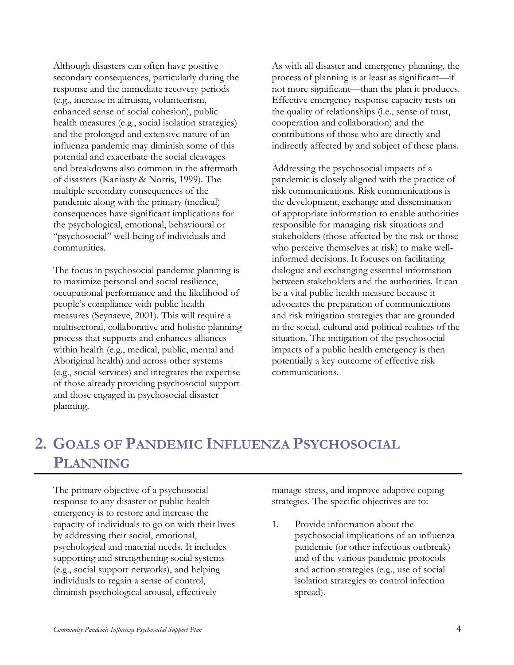Although disasters can often have positive secondary consequences, particularly during the response and the immediate recovery periods (e.g., increase in altruism, volunteerism, enhanced sense of social cohesion), public health measures (e.g., social isolation strategies) and the prolonged and extensive nature of an influenza pandemic may diminish some of this potential and exacerbate the social cleavages and breakdowns also common in the aftermath of disasters (Kaniasty & Norris, 1999). The multiple secondary consequences of the pandemic along with the primary (medical) consequences have significant implications for the psychological, emotional, behavioural or "psychosocial" well-being of individuals and communities.

The focus in psychosocial pandemic planning is to maximize personal and social resilience, occupational performance and the likelihood of people's compliance with public health measures (Seynaeve, 2001). This will require a multisectoral, collaborative and holistic planning process that supports and enhances alliances within health (e.g., medical, public, mental and Aboriginal health) and across other systems (e.g., social services) and integrates the expertise of those already providing psychosocial support and those engaged in psychosocial disaster planning.

As with all disaster and emergency planning, the process of planning is at least as significant—if not more significant—than the plan it produces. Effective emergency response capacity rests on the quality of relationships (i.e., sense of trust, cooperation and collaboration) and the contributions of those who are directly and indirectly affected by and subject of these plans.

Addressing the psychosocial impacts of a pandemic is closely aligned with the practice of risk communications. Risk communications is the development, exchange and dissemination of appropriate information to enable authorities responsible for managing risk situations and stakeholders (those affected by the risk or those who perceive themselves at risk) to make wellinformed decisions. It focuses on facilitating dialogue and exchanging essential information between stakeholders and the authorities. It can be a vital public health measure because it advocates the preparation of communications and risk mitigation strategies that are grounded in the social, cultural and political realities of the situation. The mitigation of the psychosocial impacts of a public health emergency is then potentially a key outcome of effective risk communications.

# <span id="page-3-0"></span>**2. GOALS OF PANDEMIC INFLUENZA PSYCHOSOCIAL PLANNING**

The primary objective of a psychosocial response to any disaster or public health emergency is to restore and increase the capacity of individuals to go on with their lives by addressing their social, emotional, psychological and material needs. It includes supporting and strengthening social systems (e.g., social support networks), and helping individuals to regain a sense of control, diminish psychological arousal, effectively

manage stress, and improve adaptive coping strategies. The specific objectives are to:

1. Provide information about the psychosocial implications of an influenza pandemic (or other infectious outbreak) and of the various pandemic protocols and action strategies (e.g., use of social isolation strategies to control infection spread).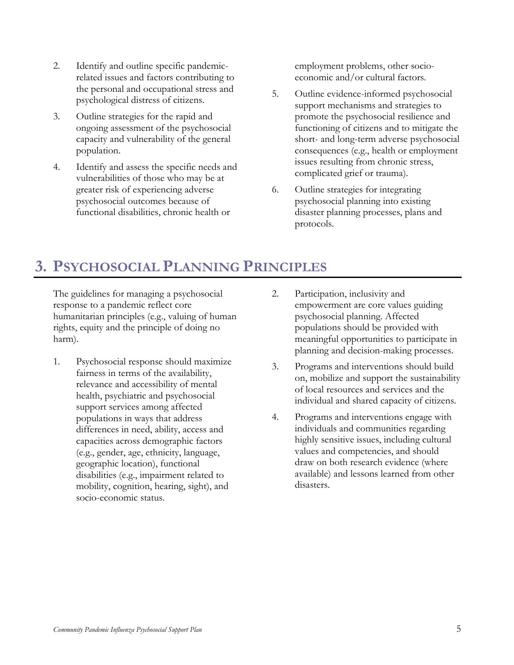- 2. Identify and outline specific pandemicrelated issues and factors contributing to the personal and occupational stress and psychological distress of citizens.
- 3. Outline strategies for the rapid and ongoing assessment of the psychosocial capacity and vulnerability of the general population.
- 4. Identify and assess the specific needs and vulnerabilities of those who may be at greater risk of experiencing adverse psychosocial outcomes because of functional disabilities, chronic health or

employment problems, other socioeconomic and/or cultural factors.

- 5. Outline evidence-informed psychosocial support mechanisms and strategies to promote the psychosocial resilience and functioning of citizens and to mitigate the short- and long-term adverse psychosocial consequences (e.g., health or employment issues resulting from chronic stress, complicated grief or trauma).
- 6. Outline strategies for integrating psychosocial planning into existing disaster planning processes, plans and protocols.

# <span id="page-4-0"></span>**3. PSYCHOSOCIAL PLANNING PRINCIPLES**

The guidelines for managing a psychosocial response to a pandemic reflect core humanitarian principles (e.g., valuing of human rights, equity and the principle of doing no harm).

- 1. Psychosocial response should maximize fairness in terms of the availability, relevance and accessibility of mental health, psychiatric and psychosocial support services among affected populations in ways that address differences in need, ability, access and capacities across demographic factors (e.g., gender, age, ethnicity, language, geographic location), functional disabilities (e.g., impairment related to mobility, cognition, hearing, sight), and socio-economic status.
- 2. Participation, inclusivity and empowerment are core values guiding psychosocial planning. Affected populations should be provided with meaningful opportunities to participate in planning and decision-making processes.
- 3. Programs and interventions should build on, mobilize and support the sustainability of local resources and services and the individual and shared capacity of citizens.
- 4. Programs and interventions engage with individuals and communities regarding highly sensitive issues, including cultural values and competencies, and should draw on both research evidence (where available) and lessons learned from other disasters.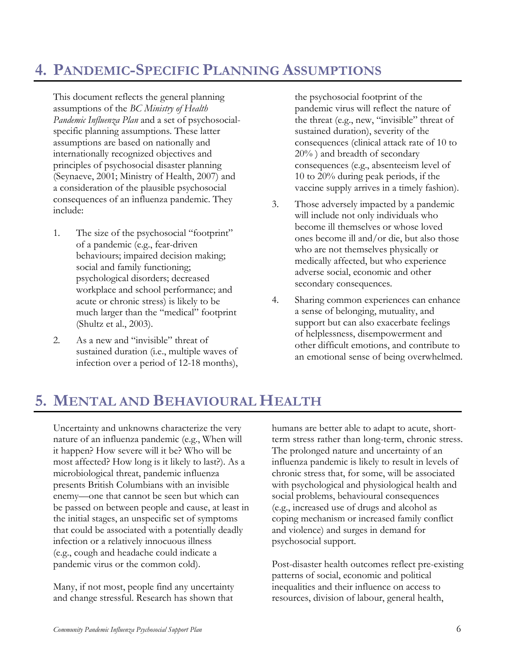# <span id="page-5-0"></span>**4. PANDEMIC-SPECIFIC PLANNING ASSUMPTIONS**

This document reflects the general planning assumptions of the *BC Ministry of Health Pandemic Influenza Plan* and a set of psychosocialspecific planning assumptions. These latter assumptions are based on nationally and internationally recognized objectives and principles of psychosocial disaster planning (Seynaeve, 2001; Ministry of Health, 2007) and a consideration of the plausible psychosocial consequences of an influenza pandemic. They include:

- 1. The size of the psychosocial "footprint" of a pandemic (e.g., fear-driven behaviours; impaired decision making; social and family functioning; psychological disorders; decreased workplace and school performance; and acute or chronic stress) is likely to be much larger than the "medical" footprint (Shultz et al., 2003).
- 2. As a new and "invisible" threat of sustained duration (i.e., multiple waves of infection over a period of 12-18 months),

the psychosocial footprint of the pandemic virus will reflect the nature of the threat (e.g., new, "invisible" threat of sustained duration), severity of the consequences (clinical attack rate of 10 to 20% ) and breadth of secondary consequences (e.g., absenteeism level of 10 to 20% during peak periods, if the vaccine supply arrives in a timely fashion).

- 3. Those adversely impacted by a pandemic will include not only individuals who become ill themselves or whose loved ones become ill and/or die, but also those who are not themselves physically or medically affected, but who experience adverse social, economic and other secondary consequences.
- 4. Sharing common experiences can enhance a sense of belonging, mutuality, and support but can also exacerbate feelings of helplessness, disempowerment and other difficult emotions, and contribute to an emotional sense of being overwhelmed.

# <span id="page-5-1"></span>**5. MENTAL AND BEHAVIOURAL HEALTH**

Uncertainty and unknowns characterize the very nature of an influenza pandemic (e.g., When will it happen? How severe will it be? Who will be most affected? How long is it likely to last?). As a microbiological threat, pandemic influenza presents British Columbians with an invisible enemy—one that cannot be seen but which can be passed on between people and cause, at least in the initial stages, an unspecific set of symptoms that could be associated with a potentially deadly infection or a relatively innocuous illness (e.g., cough and headache could indicate a pandemic virus or the common cold).

Many, if not most, people find any uncertainty and change stressful. Research has shown that humans are better able to adapt to acute, shortterm stress rather than long-term, chronic stress. The prolonged nature and uncertainty of an influenza pandemic is likely to result in levels of chronic stress that, for some, will be associated with psychological and physiological health and social problems, behavioural consequences (e.g., increased use of drugs and alcohol as coping mechanism or increased family conflict and violence) and surges in demand for psychosocial support.

Post-disaster health outcomes reflect pre-existing patterns of social, economic and political inequalities and their influence on access to resources, division of labour, general health,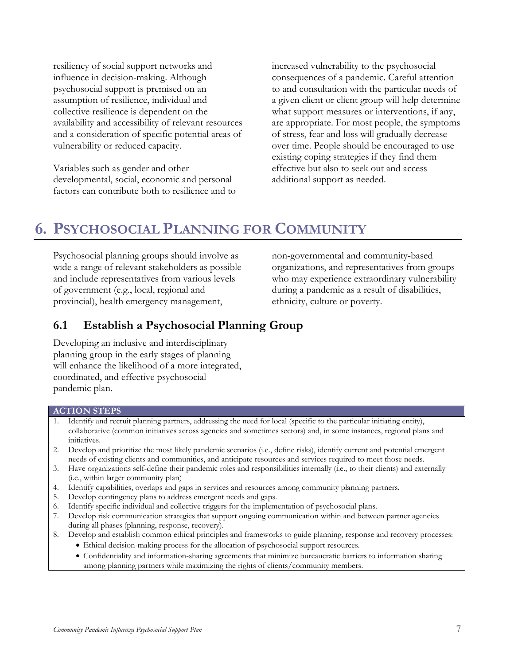resiliency of social support networks and influence in decision-making. Although psychosocial support is premised on an assumption of resilience, individual and collective resilience is dependent on the availability and accessibility of relevant resources and a consideration of specific potential areas of vulnerability or reduced capacity.

Variables such as gender and other developmental, social, economic and personal factors can contribute both to resilience and to increased vulnerability to the psychosocial consequences of a pandemic. Careful attention to and consultation with the particular needs of a given client or client group will help determine what support measures or interventions, if any, are appropriate. For most people, the symptoms of stress, fear and loss will gradually decrease over time. People should be encouraged to use existing coping strategies if they find them effective but also to seek out and access additional support as needed.

# <span id="page-6-0"></span>**6. PSYCHOSOCIAL PLANNING FOR COMMUNITY**

Psychosocial planning groups should involve as wide a range of relevant stakeholders as possible and include representatives from various levels of government (e.g., local, regional and provincial), health emergency management,

non-governmental and community-based organizations, and representatives from groups who may experience extraordinary vulnerability during a pandemic as a result of disabilities, ethnicity, culture or poverty.

### <span id="page-6-1"></span>**6.1 Establish a Psychosocial Planning Group**

Developing an inclusive and interdisciplinary planning group in the early stages of planning will enhance the likelihood of a more integrated, coordinated, and effective psychosocial pandemic plan.

#### **ACTION STEPS**

- 1. Identify and recruit planning partners, addressing the need for local (specific to the particular initiating entity), collaborative (common initiatives across agencies and sometimes sectors) and, in some instances, regional plans and initiatives.
- 2. Develop and prioritize the most likely pandemic scenarios (i.e., define risks), identify current and potential emergent needs of existing clients and communities, and anticipate resources and services required to meet those needs.
- 3. Have organizations self-define their pandemic roles and responsibilities internally (i.e., to their clients) and externally (i.e., within larger community plan)
- 4. Identify capabilities, overlaps and gaps in services and resources among community planning partners.
- 5. Develop contingency plans to address emergent needs and gaps.
- 6. Identify specific individual and collective triggers for the implementation of psychosocial plans.
- 7. Develop risk communication strategies that support ongoing communication within and between partner agencies during all phases (planning, response, recovery).
- 8. Develop and establish common ethical principles and frameworks to guide planning, response and recovery processes:
	- Ethical decision-making process for the allocation of psychosocial support resources.
	- Confidentiality and information-sharing agreements that minimize bureaucratic barriers to information sharing among planning partners while maximizing the rights of clients/community members.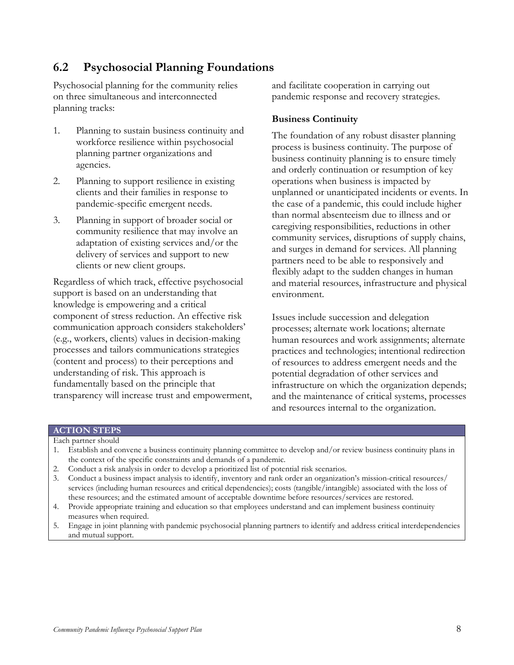### <span id="page-7-0"></span>**6.2 Psychosocial Planning Foundations**

Psychosocial planning for the community relies on three simultaneous and interconnected planning tracks:

- 1. Planning to sustain business continuity and workforce resilience within psychosocial planning partner organizations and agencies.
- 2. Planning to support resilience in existing clients and their families in response to pandemic-specific emergent needs.
- 3. Planning in support of broader social or community resilience that may involve an adaptation of existing services and/or the delivery of services and support to new clients or new client groups.

Regardless of which track, effective psychosocial support is based on an understanding that knowledge is empowering and a critical component of stress reduction. An effective risk communication approach considers stakeholders' (e.g., workers, clients) values in decision-making processes and tailors communications strategies (content and process) to their perceptions and understanding of risk. This approach is fundamentally based on the principle that transparency will increase trust and empowerment, and facilitate cooperation in carrying out pandemic response and recovery strategies.

#### **Business Continuity**

The foundation of any robust disaster planning process is business continuity. The purpose of business continuity planning is to ensure timely and orderly continuation or resumption of key operations when business is impacted by unplanned or unanticipated incidents or events. In the case of a pandemic, this could include higher than normal absenteeism due to illness and or caregiving responsibilities, reductions in other community services, disruptions of supply chains, and surges in demand for services. All planning partners need to be able to responsively and flexibly adapt to the sudden changes in human and material resources, infrastructure and physical environment.

Issues include succession and delegation processes; alternate work locations; alternate human resources and work assignments; alternate practices and technologies; intentional redirection of resources to address emergent needs and the potential degradation of other services and infrastructure on which the organization depends; and the maintenance of critical systems, processes and resources internal to the organization.

#### **ACTION STEPS**

- Each partner should
- 1. Establish and convene a business continuity planning committee to develop and/or review business continuity plans in the context of the specific constraints and demands of a pandemic.
- 2. Conduct a risk analysis in order to develop a prioritized list of potential risk scenarios.
- 3. Conduct a business impact analysis to identify, inventory and rank order an organization's mission-critical resources/ services (including human resources and critical dependencies); costs (tangible/intangible) associated with the loss of these resources; and the estimated amount of acceptable downtime before resources/services are restored.
- 4. Provide appropriate training and education so that employees understand and can implement business continuity measures when required.
- 5. Engage in joint planning with pandemic psychosocial planning partners to identify and address critical interdependencies and mutual support.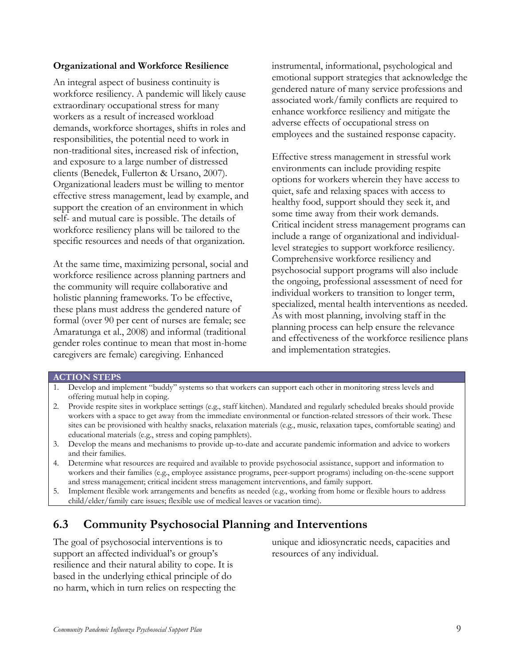#### **Organizational and Workforce Resilience**

An integral aspect of business continuity is workforce resiliency. A pandemic will likely cause extraordinary occupational stress for many workers as a result of increased workload demands, workforce shortages, shifts in roles and responsibilities, the potential need to work in non-traditional sites, increased risk of infection, and exposure to a large number of distressed clients (Benedek, Fullerton & Ursano, 2007). Organizational leaders must be willing to mentor effective stress management, lead by example, and support the creation of an environment in which self- and mutual care is possible. The details of workforce resiliency plans will be tailored to the specific resources and needs of that organization.

At the same time, maximizing personal, social and workforce resilience across planning partners and the community will require collaborative and holistic planning frameworks. To be effective, these plans must address the gendered nature of formal (over 90 per cent of nurses are female; see Amaratunga et al., 2008) and informal (traditional gender roles continue to mean that most in-home caregivers are female) caregiving. Enhanced

instrumental, informational, psychological and emotional support strategies that acknowledge the gendered nature of many service professions and associated work/family conflicts are required to enhance workforce resiliency and mitigate the adverse effects of occupational stress on employees and the sustained response capacity.

Effective stress management in stressful work environments can include providing respite options for workers wherein they have access to quiet, safe and relaxing spaces with access to healthy food, support should they seek it, and some time away from their work demands. Critical incident stress management programs can include a range of organizational and individuallevel strategies to support workforce resiliency. Comprehensive workforce resiliency and psychosocial support programs will also include the ongoing, professional assessment of need for individual workers to transition to longer term, specialized, mental health interventions as needed. As with most planning, involving staff in the planning process can help ensure the relevance and effectiveness of the workforce resilience plans and implementation strategies.

#### **ACTION STEPS**

- 1. Develop and implement "buddy" systems so that workers can support each other in monitoring stress levels and offering mutual help in coping.
- 2. Provide respite sites in workplace settings (e.g., staff kitchen). Mandated and regularly scheduled breaks should provide workers with a space to get away from the immediate environmental or function-related stressors of their work. These sites can be provisioned with healthy snacks, relaxation materials (e.g., music, relaxation tapes, comfortable seating) and educational materials (e.g., stress and coping pamphlets).
- 3. Develop the means and mechanisms to provide up-to-date and accurate pandemic information and advice to workers and their families.
- 4. Determine what resources are required and available to provide psychosocial assistance, support and information to workers and their families (e.g., employee assistance programs, peer-support programs) including on-the-scene support and stress management; critical incident stress management interventions, and family support.
- 5. Implement flexible work arrangements and benefits as needed (e.g., working from home or flexible hours to address child/elder/family care issues; flexible use of medical leaves or vacation time).

### <span id="page-8-0"></span>**6.3 Community Psychosocial Planning and Interventions**

The goal of psychosocial interventions is to support an affected individual's or group's resilience and their natural ability to cope. It is based in the underlying ethical principle of do no harm, which in turn relies on respecting the unique and idiosyncratic needs, capacities and resources of any individual.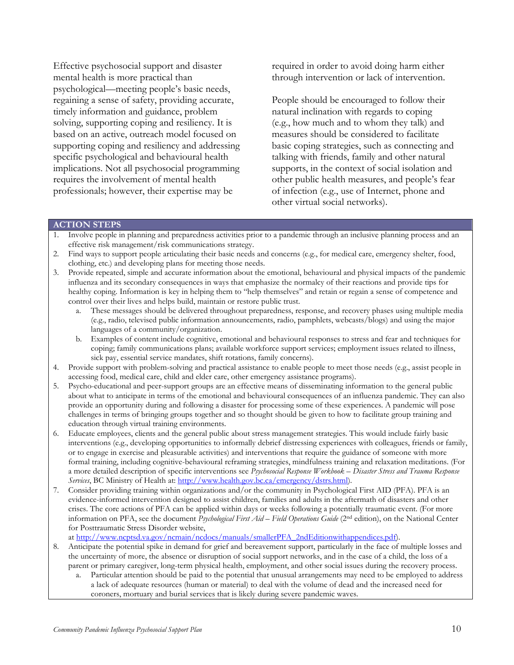Effective psychosocial support and disaster mental health is more practical than psychological—meeting people's basic needs, regaining a sense of safety, providing accurate, timely information and guidance, problem solving, supporting coping and resiliency. It is based on an active, outreach model focused on supporting coping and resiliency and addressing specific psychological and behavioural health implications. Not all psychosocial programming requires the involvement of mental health professionals; however, their expertise may be

required in order to avoid doing harm either through intervention or lack of intervention.

People should be encouraged to follow their natural inclination with regards to coping (e.g., how much and to whom they talk) and measures should be considered to facilitate basic coping strategies, such as connecting and talking with friends, family and other natural supports, in the context of social isolation and other public health measures, and people's fear of infection (e.g., use of Internet, phone and other virtual social networks).

#### **ACTION STEPS**

- 1. Involve people in planning and preparedness activities prior to a pandemic through an inclusive planning process and an effective risk management/risk communications strategy.
- 2. Find ways to support people articulating their basic needs and concerns (e.g., for medical care, emergency shelter, food, clothing, etc.) and developing plans for meeting those needs.
- 3. Provide repeated, simple and accurate information about the emotional, behavioural and physical impacts of the pandemic influenza and its secondary consequences in ways that emphasize the normalcy of their reactions and provide tips for healthy coping. Information is key in helping them to "help themselves" and retain or regain a sense of competence and control over their lives and helps build, maintain or restore public trust.
	- a. These messages should be delivered throughout preparedness, response, and recovery phases using multiple media (e.g., radio, televised public information announcements, radio, pamphlets, webcasts/blogs) and using the major languages of a community/organization.
	- b. Examples of content include cognitive, emotional and behavioural responses to stress and fear and techniques for coping; family communications plans; available workforce support services; employment issues related to illness, sick pay, essential service mandates, shift rotations, family concerns).
- 4. Provide support with problem-solving and practical assistance to enable people to meet those needs (e.g., assist people in accessing food, medical care, child and elder care, other emergency assistance programs).
- 5. Psycho-educational and peer-support groups are an effective means of disseminating information to the general public about what to anticipate in terms of the emotional and behavioural consequences of an influenza pandemic. They can also provide an opportunity during and following a disaster for processing some of these experiences. A pandemic will pose challenges in terms of bringing groups together and so thought should be given to how to facilitate group training and education through virtual training environments.
- 6. Educate employees, clients and the general public about stress management strategies. This would include fairly basic interventions (e.g., developing opportunities to informally debrief distressing experiences with colleagues, friends or family, or to engage in exercise and pleasurable activities) and interventions that require the guidance of someone with more formal training, including cognitive-behavioural reframing strategies, mindfulness training and relaxation meditations. (For a more detailed description of specific interventions see *Psychosocial Response Workbook – Disaster Stress and Trauma Response Services*, BC Ministry of Health at: [http://www.health.gov.bc.ca/emergency/dstrs.html\)](http://www.health.gov.bc.ca/emergency/dstrs.html).
- 7. Consider providing training within organizations and/or the community in Psychological First AID (PFA). PFA is an evidence-informed intervention designed to assist children, families and adults in the aftermath of disasters and other crises. The core actions of PFA can be applied within days or weeks following a potentially traumatic event. (For more information on PFA, see the document *Psychological First Aid – Field Operations Guide* (2nd edition), on the National Center for Posttraumatic Stress Disorder website,

at [http://www.ncptsd.va.gov/ncmain/ncdocs/manuals/smallerPFA\\_2ndEditionwithappendices.pdf\)](http://www.ncptsd.va.gov/ncmain/ncdocs/manuals/smallerPFA_2ndEditionwithappendices.pdf).

- 8. Anticipate the potential spike in demand for grief and bereavement support, particularly in the face of multiple losses and the uncertainty of more, the absence or disruption of social support networks, and in the case of a child, the loss of a parent or primary caregiver, long-term physical health, employment, and other social issues during the recovery process.
	- a. Particular attention should be paid to the potential that unusual arrangements may need to be employed to address a lack of adequate resources (human or material) to deal with the volume of dead and the increased need for coroners, mortuary and burial services that is likely during severe pandemic waves.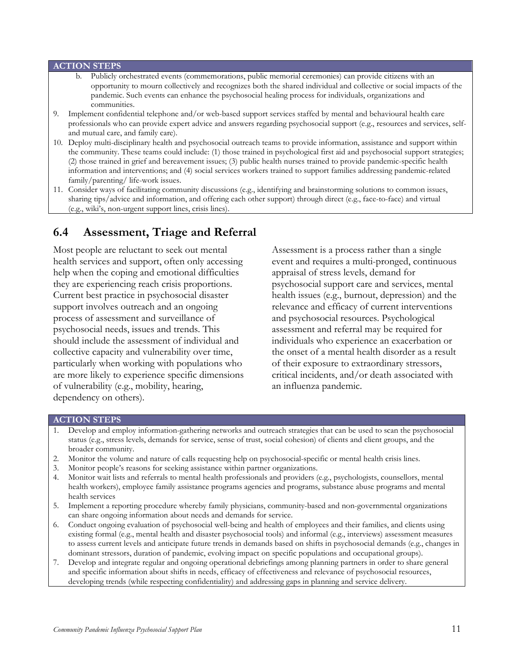#### **ACTION STEPS**

- b. Publicly orchestrated events (commemorations, public memorial ceremonies) can provide citizens with an opportunity to mourn collectively and recognizes both the shared individual and collective or social impacts of the pandemic. Such events can enhance the psychosocial healing process for individuals, organizations and communities.
- 9. Implement confidential telephone and/or web-based support services staffed by mental and behavioural health care professionals who can provide expert advice and answers regarding psychosocial support (e.g., resources and services, selfand mutual care, and family care).
- 10. Deploy multi-disciplinary health and psychosocial outreach teams to provide information, assistance and support within the community. These teams could include: (1) those trained in psychological first aid and psychosocial support strategies; (2) those trained in grief and bereavement issues; (3) public health nurses trained to provide pandemic-specific health information and interventions; and (4) social services workers trained to support families addressing pandemic-related family/parenting/ life-work issues.
- 11. Consider ways of facilitating community discussions (e.g., identifying and brainstorming solutions to common issues, sharing tips/advice and information, and offering each other support) through direct (e.g., face-to-face) and virtual (e.g., wiki's, non-urgent support lines, crisis lines).

### <span id="page-10-0"></span>**6.4 Assessment, Triage and Referral**

Most people are reluctant to seek out mental health services and support, often only accessing help when the coping and emotional difficulties they are experiencing reach crisis proportions. Current best practice in psychosocial disaster support involves outreach and an ongoing process of assessment and surveillance of psychosocial needs, issues and trends. This should include the assessment of individual and collective capacity and vulnerability over time, particularly when working with populations who are more likely to experience specific dimensions of vulnerability (e.g., mobility, hearing, dependency on others).

Assessment is a process rather than a single event and requires a multi-pronged, continuous appraisal of stress levels, demand for psychosocial support care and services, mental health issues (e.g., burnout, depression) and the relevance and efficacy of current interventions and psychosocial resources. Psychological assessment and referral may be required for individuals who experience an exacerbation or the onset of a mental health disorder as a result of their exposure to extraordinary stressors, critical incidents, and/or death associated with an influenza pandemic.

#### **ACTION STEPS**

- 1. Develop and employ information-gathering networks and outreach strategies that can be used to scan the psychosocial status (e.g., stress levels, demands for service, sense of trust, social cohesion) of clients and client groups, and the broader community.
- 2. Monitor the volume and nature of calls requesting help on psychosocial-specific or mental health crisis lines.
- 3. Monitor people's reasons for seeking assistance within partner organizations.
- 4. Monitor wait lists and referrals to mental health professionals and providers (e.g., psychologists, counsellors, mental health workers), employee family assistance programs agencies and programs, substance abuse programs and mental health services
- 5. Implement a reporting procedure whereby family physicians, community-based and non-governmental organizations can share ongoing information about needs and demands for service.
- 6. Conduct ongoing evaluation of psychosocial well-being and health of employees and their families, and clients using existing formal (e.g., mental health and disaster psychosocial tools) and informal (e.g., interviews) assessment measures to assess current levels and anticipate future trends in demands based on shifts in psychosocial demands (e.g., changes in dominant stressors, duration of pandemic, evolving impact on specific populations and occupational groups).
- 7. Develop and integrate regular and ongoing operational debriefings among planning partners in order to share general and specific information about shifts in needs, efficacy of effectiveness and relevance of psychosocial resources, developing trends (while respecting confidentiality) and addressing gaps in planning and service delivery.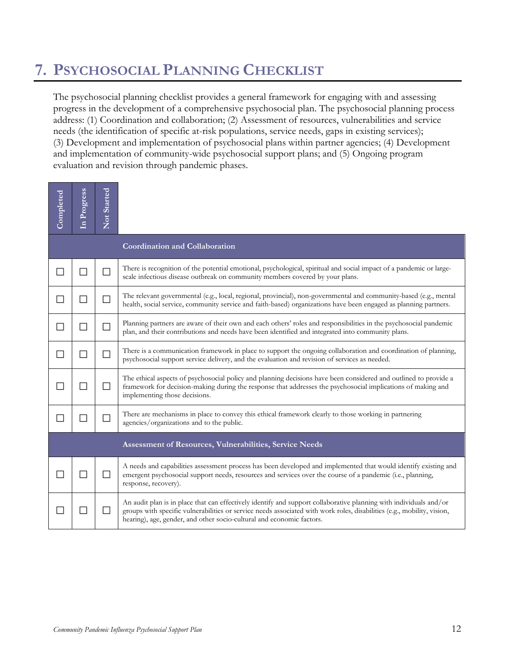# <span id="page-11-0"></span>**7. PSYCHOSOCIAL PLANNING CHECKLIST**

The psychosocial planning checklist provides a general framework for engaging with and assessing progress in the development of a comprehensive psychosocial plan. The psychosocial planning process address: (1) Coordination and collaboration; (2) Assessment of resources, vulnerabilities and service needs (the identification of specific at-risk populations, service needs, gaps in existing services); (3) Development and implementation of psychosocial plans within partner agencies; (4) Development and implementation of community-wide psychosocial support plans; and (5) Ongoing program evaluation and revision through pandemic phases.

| Completed                                               | In Progress | Not Started              |                                                                                                                                                                                                                                                                                                                        |  |  |  |  |
|---------------------------------------------------------|-------------|--------------------------|------------------------------------------------------------------------------------------------------------------------------------------------------------------------------------------------------------------------------------------------------------------------------------------------------------------------|--|--|--|--|
|                                                         |             |                          | <b>Coordination and Collaboration</b>                                                                                                                                                                                                                                                                                  |  |  |  |  |
| L.                                                      | $\Box$      | $\Box$                   | There is recognition of the potential emotional, psychological, spiritual and social impact of a pandemic or large-<br>scale infectious disease outbreak on community members covered by your plans.                                                                                                                   |  |  |  |  |
| $\mathcal{L}_{\mathcal{A}}$                             | П           | $\Box$                   | The relevant governmental (e.g., local, regional, provincial), non-governmental and community-based (e.g., mental<br>health, social service, community service and faith-based) organizations have been engaged as planning partners.                                                                                  |  |  |  |  |
| $\sim$                                                  | $\Box$      | $\Box$                   | Planning partners are aware of their own and each others' roles and responsibilities in the psychosocial pandemic<br>plan, and their contributions and needs have been identified and integrated into community plans.                                                                                                 |  |  |  |  |
|                                                         | $\Box$      | $\Box$                   | There is a communication framework in place to support the ongoing collaboration and coordination of planning,<br>psychosocial support service delivery, and the evaluation and revision of services as needed.                                                                                                        |  |  |  |  |
|                                                         |             | П                        | The ethical aspects of psychosocial policy and planning decisions have been considered and outlined to provide a<br>framework for decision-making during the response that addresses the psychosocial implications of making and<br>implementing those decisions.                                                      |  |  |  |  |
|                                                         | П           | П                        | There are mechanisms in place to convey this ethical framework clearly to those working in partnering<br>agencies/organizations and to the public.                                                                                                                                                                     |  |  |  |  |
| Assessment of Resources, Vulnerabilities, Service Needs |             |                          |                                                                                                                                                                                                                                                                                                                        |  |  |  |  |
|                                                         | $\Box$      | П                        | A needs and capabilities assessment process has been developed and implemented that would identify existing and<br>emergent psychosocial support needs, resources and services over the course of a pandemic (i.e., planning,<br>response, recovery).                                                                  |  |  |  |  |
|                                                         | Ш           | $\overline{\phantom{a}}$ | An audit plan is in place that can effectively identify and support collaborative planning with individuals and/or<br>groups with specific vulnerabilities or service needs associated with work roles, disabilities (e.g., mobility, vision,<br>hearing), age, gender, and other socio-cultural and economic factors. |  |  |  |  |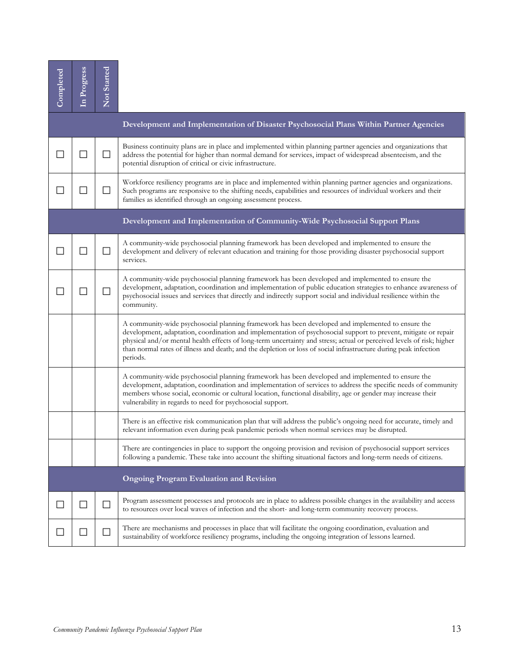| Completed | In Progress                                                  | Not Started |                                                                                                                                                                                                                                                                                                                                                                                                                                                                               |  |  |  |  |
|-----------|--------------------------------------------------------------|-------------|-------------------------------------------------------------------------------------------------------------------------------------------------------------------------------------------------------------------------------------------------------------------------------------------------------------------------------------------------------------------------------------------------------------------------------------------------------------------------------|--|--|--|--|
|           |                                                              |             | Development and Implementation of Disaster Psychosocial Plans Within Partner Agencies                                                                                                                                                                                                                                                                                                                                                                                         |  |  |  |  |
|           | $\overline{\phantom{a}}$                                     | $\Box$      | Business continuity plans are in place and implemented within planning partner agencies and organizations that<br>address the potential for higher than normal demand for services, impact of widespread absenteeism, and the<br>potential disruption of critical or civic infrastructure.                                                                                                                                                                                    |  |  |  |  |
| $\Box$    | $\mathcal{L}_{\mathcal{A}}$                                  | $\Box$      | Workforce resiliency programs are in place and implemented within planning partner agencies and organizations.<br>Such programs are responsive to the shifting needs, capabilities and resources of individual workers and their<br>families as identified through an ongoing assessment process.                                                                                                                                                                             |  |  |  |  |
|           |                                                              |             | Development and Implementation of Community-Wide Psychosocial Support Plans                                                                                                                                                                                                                                                                                                                                                                                                   |  |  |  |  |
|           | H.                                                           | $\Box$      | A community-wide psychosocial planning framework has been developed and implemented to ensure the<br>development and delivery of relevant education and training for those providing disaster psychosocial support<br>services.                                                                                                                                                                                                                                               |  |  |  |  |
|           | $\sim$                                                       | ΙI          | A community-wide psychosocial planning framework has been developed and implemented to ensure the<br>development, adaptation, coordination and implementation of public education strategies to enhance awareness of<br>psychosocial issues and services that directly and indirectly support social and individual resilience within the<br>community.                                                                                                                       |  |  |  |  |
|           |                                                              |             | A community-wide psychosocial planning framework has been developed and implemented to ensure the<br>development, adaptation, coordination and implementation of psychosocial support to prevent, mitigate or repair<br>physical and/or mental health effects of long-term uncertainty and stress; actual or perceived levels of risk; higher<br>than normal rates of illness and death; and the depletion or loss of social infrastructure during peak infection<br>periods. |  |  |  |  |
|           |                                                              |             | A community-wide psychosocial planning framework has been developed and implemented to ensure the<br>development, adaptation, coordination and implementation of services to address the specific needs of community<br>members whose social, economic or cultural location, functional disability, age or gender may increase their<br>vulnerability in regards to need for psychosocial support.                                                                            |  |  |  |  |
|           |                                                              |             | There is an effective risk communication plan that will address the public's ongoing need for accurate, timely and<br>relevant information even during peak pandemic periods when normal services may be disrupted.                                                                                                                                                                                                                                                           |  |  |  |  |
|           |                                                              |             | There are contingencies in place to support the ongoing provision and revision of psychosocial support services<br>following a pandemic. These take into account the shifting situational factors and long-term needs of citizens.                                                                                                                                                                                                                                            |  |  |  |  |
|           |                                                              |             | <b>Ongoing Program Evaluation and Revision</b>                                                                                                                                                                                                                                                                                                                                                                                                                                |  |  |  |  |
|           | $\mathcal{L}$                                                |             | Program assessment processes and protocols are in place to address possible changes in the availability and access<br>to resources over local waves of infection and the short- and long-term community recovery process.                                                                                                                                                                                                                                                     |  |  |  |  |
|           | $\Box$                                                       | $\Box$      | There are mechanisms and processes in place that will facilitate the ongoing coordination, evaluation and<br>sustainability of workforce resiliency programs, including the ongoing integration of lessons learned.                                                                                                                                                                                                                                                           |  |  |  |  |
|           |                                                              |             |                                                                                                                                                                                                                                                                                                                                                                                                                                                                               |  |  |  |  |
|           | 13<br>Community Pandemic Influenza Psychosocial Support Plan |             |                                                                                                                                                                                                                                                                                                                                                                                                                                                                               |  |  |  |  |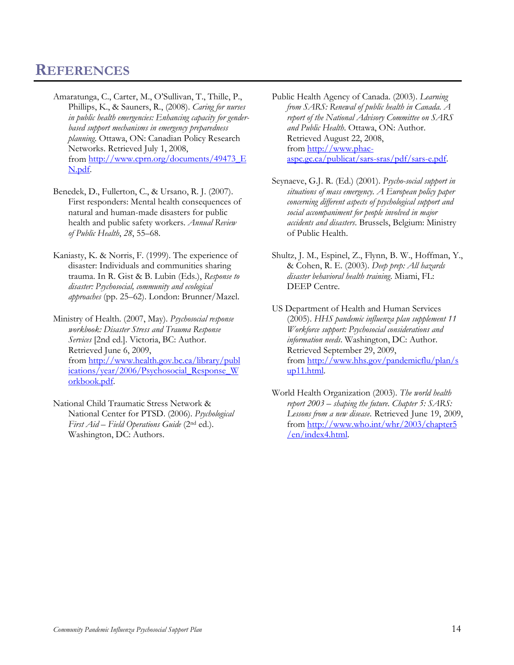### <span id="page-13-0"></span>**REFERENCES**

- Amaratunga, C., Carter, M., O'Sullivan, T., Thille, P., Phillips, K., & Sauners, R., (2008). *Caring for nurses in public health emergencies: Enhancing capacity for genderbased support mechanisms in emergency preparedness planning*. Ottawa, ON: Canadian Policy Research Networks. Retrieved July 1, 2008, from [http://www.cprn.org/documents/49473\\_E](http://www.cprn.org/documents/49473_EN.pdf) [N.pdf.](http://www.cprn.org/documents/49473_EN.pdf)
- Benedek, D., Fullerton, C., & Ursano, R. J. (2007). First responders: Mental health consequences of natural and human-made disasters for public health and public safety workers. *Annual Review of Public Health*, *28*, 55–68.
- Kaniasty, K. & Norris, F. (1999). The experience of disaster: Individuals and communities sharing trauma. In R. Gist & B. Lubin (Eds.), *Response to disaster: Psychosocial, community and ecological approaches* (pp. 25–62). London: Brunner/Mazel.
- Ministry of Health. (2007, May). *Psychosocial response workbook: Disaster Stress and Trauma Response Services* [2nd ed.]. Victoria, BC: Author. Retrieved June 6, 2009, from [http://www.health.gov.bc.ca/library/publ](http://www.health.gov.bc.ca/library/publications/year/2006/Psychosocial_Response_Workbook.pdf) [ications/year/2006/Psychosocial\\_Response\\_W](http://www.health.gov.bc.ca/library/publications/year/2006/Psychosocial_Response_Workbook.pdf) [orkbook.pdf.](http://www.health.gov.bc.ca/library/publications/year/2006/Psychosocial_Response_Workbook.pdf)
- National Child Traumatic Stress Network & National Center for PTSD. (2006). *Psychological First Aid – Field Operations Guide* (2nd ed.). Washington, DC: Authors.
- Public Health Agency of Canada. (2003). *Learning from SARS: Renewal of public health in Canada. A report of the National Advisory Committee on SARS and Public Health*. Ottawa, ON: Author. Retrieved August 22, 2008, from [http://www.phac](http://www.phac-aspc.gc.ca/publicat/sars-sras/pdf/sars-e.pdf)[aspc.gc.ca/publicat/sars-sras/pdf/sars-e.pdf.](http://www.phac-aspc.gc.ca/publicat/sars-sras/pdf/sars-e.pdf)
- Seynaeve, G.J. R. (Ed.) (2001). *Psycho-social support in situations of mass emergency. A European policy paper concerning different aspects of psychological support and social accompaniment for people involved in major accidents and disasters*. Brussels, Belgium: Ministry of Public Health.
- Shultz, J. M., Espinel, Z., Flynn, B. W., Hoffman, Y., & Cohen, R. E. (2003). *Deep prep: All hazards disaster behavioral health training*. Miami, FL: DEEP Centre.
- US Department of Health and Human Services (2005). *HHS pandemic influenza plan supplement 11 Workforce support: Psychosocial considerations and information needs*. Washington, DC: Author. Retrieved September 29, 2009, from [http://www.hhs.gov/pandemicflu/plan/s](http://www.hhs.gov/pandemicflu/plan/sup11.html) [up11.html.](http://www.hhs.gov/pandemicflu/plan/sup11.html)
- World Health Organization (2003). *The world health report 2003 – shaping the future. Chapter 5: SARS: Lessons from a new disease*. Retrieved June 19, 2009, from [http://www.who.int/whr/2003/chapter5](http://www.who.int/whr/2003/chapter5/en/index4.html) [/en/index4.html.](http://www.who.int/whr/2003/chapter5/en/index4.html)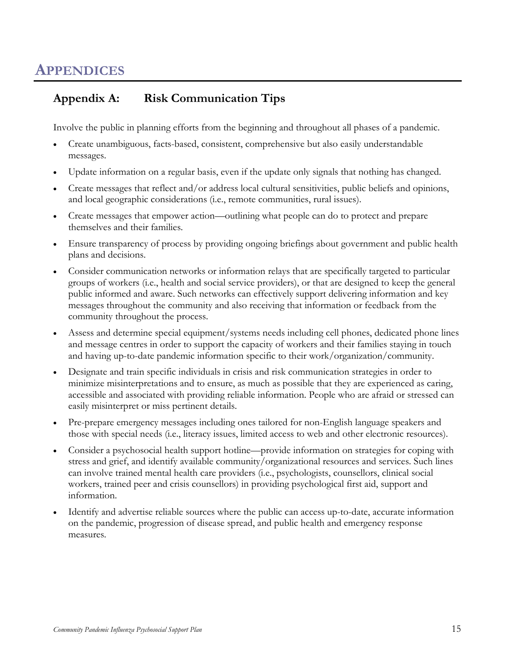### <span id="page-14-1"></span><span id="page-14-0"></span>**Appendix A: Risk Communication Tips**

Involve the public in planning efforts from the beginning and throughout all phases of a pandemic.

- Create unambiguous, facts-based, consistent, comprehensive but also easily understandable messages.
- Update information on a regular basis, even if the update only signals that nothing has changed.
- Create messages that reflect and/or address local cultural sensitivities, public beliefs and opinions, and local geographic considerations (i.e., remote communities, rural issues).
- Create messages that empower action—outlining what people can do to protect and prepare themselves and their families.
- Ensure transparency of process by providing ongoing briefings about government and public health plans and decisions.
- Consider communication networks or information relays that are specifically targeted to particular groups of workers (i.e., health and social service providers), or that are designed to keep the general public informed and aware. Such networks can effectively support delivering information and key messages throughout the community and also receiving that information or feedback from the community throughout the process.
- Assess and determine special equipment/systems needs including cell phones, dedicated phone lines and message centres in order to support the capacity of workers and their families staying in touch and having up-to-date pandemic information specific to their work/organization/community.
- Designate and train specific individuals in crisis and risk communication strategies in order to minimize misinterpretations and to ensure, as much as possible that they are experienced as caring, accessible and associated with providing reliable information. People who are afraid or stressed can easily misinterpret or miss pertinent details.
- Pre-prepare emergency messages including ones tailored for non-English language speakers and those with special needs (i.e., literacy issues, limited access to web and other electronic resources).
- Consider a psychosocial health support hotline—provide information on strategies for coping with stress and grief, and identify available community/organizational resources and services. Such lines can involve trained mental health care providers (i.e., psychologists, counsellors, clinical social workers, trained peer and crisis counsellors) in providing psychological first aid, support and information.
- Identify and advertise reliable sources where the public can access up-to-date, accurate information on the pandemic, progression of disease spread, and public health and emergency response measures.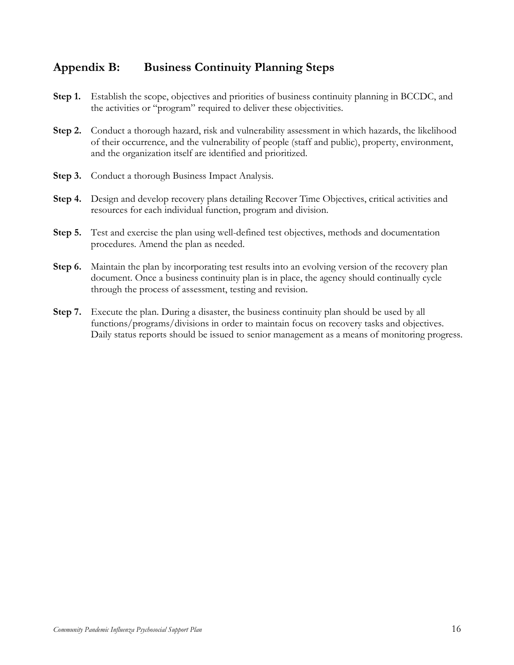### <span id="page-15-0"></span>**Appendix B: Business Continuity Planning Steps**

- **Step 1.** Establish the scope, objectives and priorities of business continuity planning in BCCDC, and the activities or "program" required to deliver these objectivities.
- **Step 2.** Conduct a thorough hazard, risk and vulnerability assessment in which hazards, the likelihood of their occurrence, and the vulnerability of people (staff and public), property, environment, and the organization itself are identified and prioritized.
- **Step 3.** Conduct a thorough Business Impact Analysis.
- **Step 4.** Design and develop recovery plans detailing Recover Time Objectives, critical activities and resources for each individual function, program and division.
- **Step 5.** Test and exercise the plan using well-defined test objectives, methods and documentation procedures. Amend the plan as needed.
- **Step 6.** Maintain the plan by incorporating test results into an evolving version of the recovery plan document. Once a business continuity plan is in place, the agency should continually cycle through the process of assessment, testing and revision.
- **Step 7.** Execute the plan. During a disaster, the business continuity plan should be used by all functions/programs/divisions in order to maintain focus on recovery tasks and objectives. Daily status reports should be issued to senior management as a means of monitoring progress.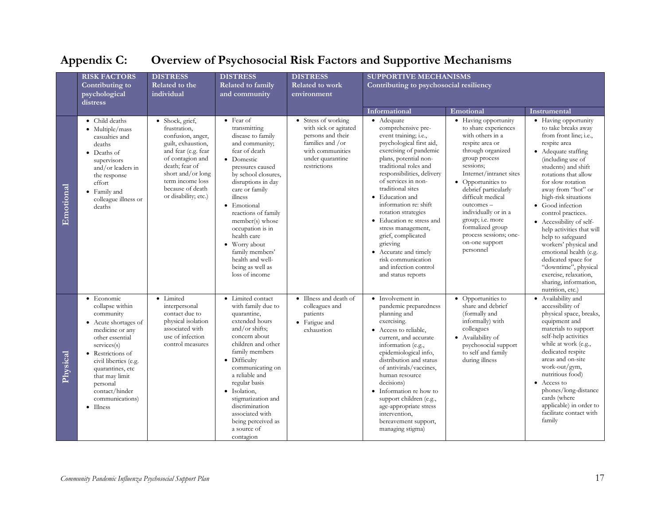<span id="page-16-0"></span>

|           | <b>RISK FACTORS</b>                                                                                                                                                                                                                                                               | <b>DISTRESS</b>                                                                                                                                                                                                              | <b>DISTRESS</b>                                                                                                                                                                                                                                                                                                                                                                                 | <b>DISTRESS</b>                                                                                                                               |                                                                                                                                                                                                                                                                                                                                                                                                                                                                                                   |                                                                                                                                                                                                                                                                                                                                                                             |                                                                                                                                                                                                                                                                                                                                                                                                                                                                                                                                                     |
|-----------|-----------------------------------------------------------------------------------------------------------------------------------------------------------------------------------------------------------------------------------------------------------------------------------|------------------------------------------------------------------------------------------------------------------------------------------------------------------------------------------------------------------------------|-------------------------------------------------------------------------------------------------------------------------------------------------------------------------------------------------------------------------------------------------------------------------------------------------------------------------------------------------------------------------------------------------|-----------------------------------------------------------------------------------------------------------------------------------------------|---------------------------------------------------------------------------------------------------------------------------------------------------------------------------------------------------------------------------------------------------------------------------------------------------------------------------------------------------------------------------------------------------------------------------------------------------------------------------------------------------|-----------------------------------------------------------------------------------------------------------------------------------------------------------------------------------------------------------------------------------------------------------------------------------------------------------------------------------------------------------------------------|-----------------------------------------------------------------------------------------------------------------------------------------------------------------------------------------------------------------------------------------------------------------------------------------------------------------------------------------------------------------------------------------------------------------------------------------------------------------------------------------------------------------------------------------------------|
|           | Contributing to<br>psychological<br>distress                                                                                                                                                                                                                                      | Related to the<br>individual                                                                                                                                                                                                 | Related to family<br>and community                                                                                                                                                                                                                                                                                                                                                              | <b>Related to work</b><br>environment                                                                                                         | <b>SUPPORTIVE MECHANISMS</b><br>Contributing to psychosocial resiliency                                                                                                                                                                                                                                                                                                                                                                                                                           |                                                                                                                                                                                                                                                                                                                                                                             |                                                                                                                                                                                                                                                                                                                                                                                                                                                                                                                                                     |
|           |                                                                                                                                                                                                                                                                                   |                                                                                                                                                                                                                              |                                                                                                                                                                                                                                                                                                                                                                                                 |                                                                                                                                               | Informational                                                                                                                                                                                                                                                                                                                                                                                                                                                                                     | Emotional                                                                                                                                                                                                                                                                                                                                                                   | Instrumental                                                                                                                                                                                                                                                                                                                                                                                                                                                                                                                                        |
| Emotional | • Child deaths<br>• Multiple/mass<br>casualties and<br>deaths<br>• Deaths of<br>supervisors<br>and/or leaders in<br>the response<br>effort<br>• Family and<br>colleague illness or<br>deaths                                                                                      | • Shock, grief,<br>frustration,<br>confusion, anger,<br>guilt, exhaustion,<br>and fear (e.g. fear<br>of contagion and<br>death; fear of<br>short and/or long<br>term income loss<br>because of death<br>or disability; etc.) | $\bullet$ Fear of<br>transmitting<br>disease to family<br>and community;<br>fear of death<br>• Domestic<br>pressures caused<br>by school closures,<br>disruptions in day<br>care or family<br>illness<br>• Emotional<br>reactions of family<br>member(s) whose<br>occupation is in<br>health care<br>• Worry about<br>family members'<br>health and well-<br>being as well as<br>loss of income | • Stress of working<br>with sick or agitated<br>persons and their<br>families and /or<br>with communities<br>under quarantine<br>restrictions | • Adequate<br>comprehensive pre-<br>event training; i.e.,<br>psychological first aid,<br>exercising of pandemic<br>plans, potential non-<br>traditional roles and<br>responsibilities, delivery<br>of services in non-<br>traditional sites<br>• Education and<br>information re: shift<br>rotation strategies<br>• Education re stress and<br>stress management,<br>grief, complicated<br>grieving<br>• Accurate and timely<br>risk communication<br>and infection control<br>and status reports | • Having opportunity<br>to share experiences<br>with others in a<br>respite area or<br>through organized<br>group process<br>sessions:<br>Internet/intranet sites<br>• Opportunities to<br>debrief particularly<br>difficult medical<br>outcomes -<br>individually or in a<br>group; i.e. more<br>formalized group<br>process sessions; one-<br>on-one support<br>personnel | • Having opportunity<br>to take breaks away<br>from front line; i.e.,<br>respite area<br>• Adequate staffing<br>(including use of<br>students) and shift<br>rotations that allow<br>for slow rotation<br>away from "hot" or<br>high-risk situations<br>• Good infection<br>control practices.<br>• Accessibility of self-<br>help activities that will<br>help to safeguard<br>workers' physical and<br>emotional health (e.g.<br>dedicated space for<br>"downtime", physical<br>exercise, relaxation,<br>sharing, information,<br>nutrition, etc.) |
| Physical  | $\bullet$ Economic<br>collapse within<br>community<br>• Acute shortages of<br>medicine or any<br>other essential<br>services(s)<br>• Restrictions of<br>civil liberties (e.g.<br>quarantines, etc<br>that may limit<br>personal<br>contact/hinder<br>communications)<br>• Illness | · Limited<br>interpersonal<br>contact due to<br>physical isolation<br>associated with<br>use of infection<br>control measures                                                                                                | • Limited contact<br>with family due to<br>quarantine,<br>extended hours<br>and/or shifts;<br>concern about<br>children and other<br>family members<br>• Difficulty<br>communicating on<br>a reliable and<br>regular basis<br>· Isolation,<br>stigmatization and<br>discrimination<br>associated with<br>being perceived as<br>a source of<br>contagion                                         | • Illness and death of<br>colleagues and<br>patients<br>• Fatigue and<br>exhaustion                                                           | • Involvement in<br>pandemic preparedness<br>planning and<br>exercising.<br>• Access to reliable,<br>current, and accurate<br>information (e.g.,<br>epidemiological info,<br>distribution and status<br>of antivirals/vaccines,<br>human resource<br>decisions)<br>• Information re how to<br>support children (e.g.,<br>age-appropriate stress<br>intervention,<br>bereavement support,<br>managing stigma)                                                                                      | • Opportunities to<br>share and debrief<br>(formally and<br>informally) with<br>colleagues<br>• Availability of<br>psychosocial support<br>to self and family<br>during illness                                                                                                                                                                                             | • Availability and<br>accessibility of<br>physical space, breaks,<br>equipment and<br>materials to support<br>self-help activities<br>while at work (e.g.,<br>dedicated respite<br>areas and on-site<br>work-out/gym,<br>nutritious food)<br>• Access to<br>phones/long-distance<br>cards (where<br>applicable) in order to<br>facilitate contact with<br>family                                                                                                                                                                                    |

## **Appendix C: Overview of Psychosocial Risk Factors and Supportive Mechanisms**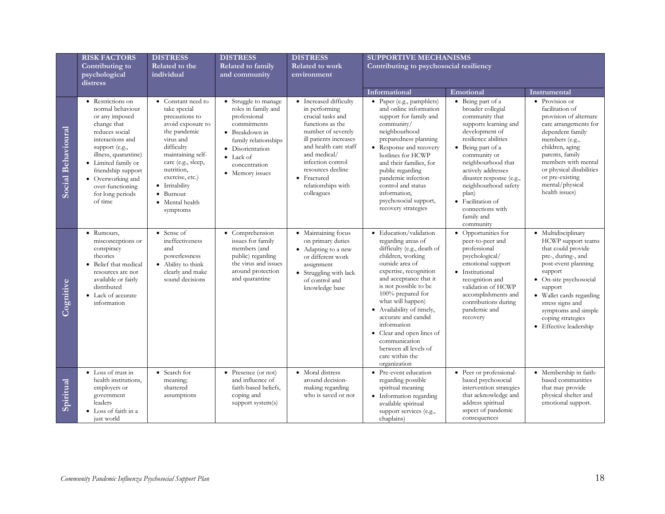|                    | <b>RISK FACTORS</b><br>Contributing to                                                                                                                                                                                                                                    | <b>DISTRESS</b><br>Related to the                                                                                                                                                                                                                                      | <b>DISTRESS</b><br>Related to family                                                                                                                                                              | <b>DISTRESS</b><br><b>Related to work</b>                                                                                                                                                                                                                              | <b>SUPPORTIVE MECHANISMS</b><br>Contributing to psychosocial resiliency                                                                                                                                                                                                                                                                                                                                                |                                                                                                                                                                                                                                                                                                                                               |                                                                                                                                                                                                                                                                                  |
|--------------------|---------------------------------------------------------------------------------------------------------------------------------------------------------------------------------------------------------------------------------------------------------------------------|------------------------------------------------------------------------------------------------------------------------------------------------------------------------------------------------------------------------------------------------------------------------|---------------------------------------------------------------------------------------------------------------------------------------------------------------------------------------------------|------------------------------------------------------------------------------------------------------------------------------------------------------------------------------------------------------------------------------------------------------------------------|------------------------------------------------------------------------------------------------------------------------------------------------------------------------------------------------------------------------------------------------------------------------------------------------------------------------------------------------------------------------------------------------------------------------|-----------------------------------------------------------------------------------------------------------------------------------------------------------------------------------------------------------------------------------------------------------------------------------------------------------------------------------------------|----------------------------------------------------------------------------------------------------------------------------------------------------------------------------------------------------------------------------------------------------------------------------------|
|                    | psychological<br>distress                                                                                                                                                                                                                                                 | individual                                                                                                                                                                                                                                                             | and community                                                                                                                                                                                     | environment                                                                                                                                                                                                                                                            |                                                                                                                                                                                                                                                                                                                                                                                                                        |                                                                                                                                                                                                                                                                                                                                               |                                                                                                                                                                                                                                                                                  |
|                    |                                                                                                                                                                                                                                                                           |                                                                                                                                                                                                                                                                        |                                                                                                                                                                                                   |                                                                                                                                                                                                                                                                        | Informational                                                                                                                                                                                                                                                                                                                                                                                                          | Emotional                                                                                                                                                                                                                                                                                                                                     | Instrumental                                                                                                                                                                                                                                                                     |
| Social Behavioural | • Restrictions on<br>normal behaviour<br>or any imposed<br>change that<br>reduces social<br>interactions and<br>support (e.g.,<br>illness, quarantine)<br>• Limited family or<br>friendship support<br>Overworking and<br>over-functioning<br>for long periods<br>of time | • Constant need to<br>take special<br>precautions to<br>avoid exposure to<br>the pandemic<br>virus and<br>difficulty<br>maintaining self-<br>care (e.g., sleep,<br>nutrition,<br>exercise, etc.)<br>• Irritability<br>$\bullet$ Burnout<br>• Mental health<br>symptoms | • Struggle to manage<br>roles in family and<br>professional<br>commitments<br>• Breakdown in<br>family relationships<br>· Disorientation<br>$\bullet$ Lack of<br>concentration<br>• Memory issues | • Increased difficulty<br>in performing<br>crucial tasks and<br>functions as the<br>number of severely<br>ill patients increases<br>and health care staff<br>and medical/<br>infection control<br>resources decline<br>• Fractured<br>relationships with<br>colleagues | • Paper (e.g., pamphlets)<br>and online information<br>support for family and<br>community/<br>neighbourhood<br>preparedness planning<br>• Response and recovery<br>hotlines for HCWP<br>and their families, for<br>public regarding<br>pandemic infection<br>control and status<br>information,<br>psychosocial support,<br>recovery strategies                                                                       | • Being part of a<br>broader collegial<br>community that<br>supports learning and<br>development of<br>resilience abilities<br>• Being part of a<br>community or<br>neighbourhood that<br>actively addresses<br>disaster response (e.g.,<br>neighbourhood safety<br>plan)<br>• Facilitation of<br>connections with<br>family and<br>community | • Provision or<br>facilitation of<br>provision of alternate<br>care arrangements for<br>dependent family<br>members (e.g.,<br>children, aging<br>parents, family<br>members with mental<br>or physical disabilities<br>or pre-existing<br>mental/physical<br>health issues)      |
| Cognitive          | • Rumours,<br>misconceptions or<br>conspiracy<br>theories<br>Belief that medical<br>resources are not<br>available or fairly<br>distributed<br>• Lack of accurate<br>information                                                                                          | • Sense of<br>ineffectiveness<br>and<br>powerlessness<br>• Ability to think<br>clearly and make<br>sound decisions                                                                                                                                                     | • Comprehension<br>issues for family<br>members (and<br>public) regarding<br>the virus and issues<br>around protection<br>and quarantine                                                          | · Maintaining focus<br>on primary duties<br>• Adapting to a new<br>or different work<br>assignment<br>• Struggling with lack<br>of control and<br>knowledge base                                                                                                       | · Education/validation<br>regarding areas of<br>difficulty (e.g., death of<br>children, working<br>outside area of<br>expertise, recognition<br>and acceptance that it<br>is not possible to be<br>100% prepared for<br>what will happen)<br>• Availability of timely,<br>accurate and candid<br>information<br>• Clear and open lines of<br>communication<br>between all levels of<br>care within the<br>organization | • Opportunities for<br>peer-to-peer and<br>professional<br>psychological/<br>emotional support<br>· Institutional<br>recognition and<br>validation of HCWP<br>accomplishments and<br>contributions during<br>pandemic and<br>recovery                                                                                                         | · Multidisciplinary<br>HCWP support teams<br>that could provide<br>pre-, during-, and<br>post-event planning<br>support<br>On-site psychosocial<br>support<br>• Wallet cards regarding<br>stress signs and<br>symptoms and simple<br>coping strategies<br>• Effective leadership |
| Spiritual          | • Loss of trust in<br>health institutions,<br>employers or<br>government<br>leaders<br>• Loss of faith in a<br>just world                                                                                                                                                 | • Search for<br>meaning;<br>shattered<br>assumptions                                                                                                                                                                                                                   | • Presence (or not)<br>and influence of<br>faith-based beliefs,<br>coping and<br>support system(s)                                                                                                | • Moral distress<br>around decision-<br>making regarding<br>who is saved or not                                                                                                                                                                                        | • Pre-event education<br>regarding possible<br>spiritual meaning<br>• Information regarding<br>available spiritual<br>support services (e.g.,<br>chaplains)                                                                                                                                                                                                                                                            | • Peer or professional-<br>based psychosocial<br>intervention strategies<br>that acknowledge and<br>address spiritual<br>aspect of pandemic<br>consequences                                                                                                                                                                                   | · Membership in faith-<br>based communities<br>that may provide<br>physical shelter and<br>emotional support.                                                                                                                                                                    |